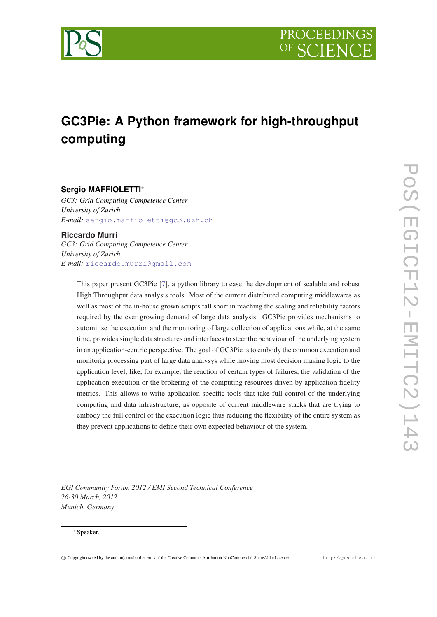

# **GC3Pie: A Python framework for high-throughput computing**

# **Sergio MAFFIOLETTI**<sup>∗</sup>

*GC3: Grid Computing Competence Center University of Zurich E-mail:* [sergio.maffioletti@gc3.uzh.ch](mailto:sergio.maffioletti@gc3.uzh.ch)

# **Riccardo Murri** *GC3: Grid Computing Competence Center*

*University of Zurich E-mail:* [riccardo.murri@gmail.com](mailto:riccardo.murri@gmail.com)

> This paper present GC3Pie [\[7](#page-5-0)], a python library to ease the development of scalable and robust High Throughput data analysis tools. Most of the current distributed computing middlewares as well as most of the in-house grown scripts fall short in reaching the scaling and reliability factors required by the ever growing demand of large data analysis. GC3Pie provides mechanisms to automitise the execution and the monitoring of large collection of applications while, at the same time, provides simple data structures and interfaces to steer the behaviour of the underlying system in an application-centric perspective. The goal of GC3Pie is to embody the common execution and monitorig processing part of large data analysys while moving most decision making logic to the application level; like, for example, the reaction of certain types of failures, the validation of the application execution or the brokering of the computing resources driven by application fidelity metrics. This allows to write application specific tools that take full control of the underlying computing and data infrastructure, as opposite of current middleware stacks that are trying to embody the full control of the execution logic thus reducing the flexibility of the entire system as they prevent applications to define their own expected behaviour of the system.

*EGI Community Forum 2012 / EMI Second Technical Conference 26-30 March, 2012 Munich, Germany*

#### <sup>∗</sup>Speaker.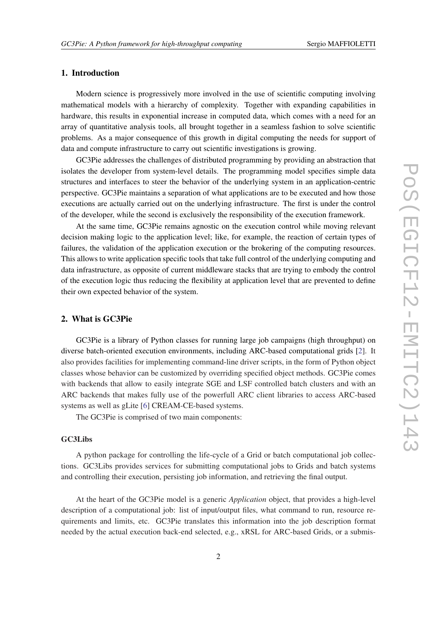## 1. Introduction

Modern science is progressively more involved in the use of scientific computing involving mathematical models with a hierarchy of complexity. Together with expanding capabilities in hardware, this results in exponential increase in computed data, which comes with a need for an array of quantitative analysis tools, all brought together in a seamless fashion to solve scientific problems. As a major consequence of this growth in digital computing the needs for support of data and compute infrastructure to carry out scientific investigations is growing.

GC3Pie addresses the challenges of distributed programming by providing an abstraction that isolates the developer from system-level details. The programming model specifies simple data structures and interfaces to steer the behavior of the underlying system in an application-centric perspective. GC3Pie maintains a separation of what applications are to be executed and how those executions are actually carried out on the underlying infrastructure. The first is under the control of the developer, while the second is exclusively the responsibility of the execution framework.

At the same time, GC3Pie remains agnostic on the execution control while moving relevant decision making logic to the application level; like, for example, the reaction of certain types of failures, the validation of the application execution or the brokering of the computing resources. This allows to write application specific tools that take full control of the underlying computing and data infrastructure, as opposite of current middleware stacks that are trying to embody the control of the execution logic thus reducing the flexibility at application level that are prevented to define their own expected behavior of the system.

## 2. What is GC3Pie

GC3Pie is a library of Python classes for running large job campaigns (high throughput) on diverse batch-oriented execution environments, including ARC-based computational grids [\[2\]](#page-5-0). It also provides facilities for implementing command-line driver scripts, in the form of Python object classes whose behavior can be customized by overriding specified object methods. GC3Pie comes with backends that allow to easily integrate SGE and LSF controlled batch clusters and with an ARC backends that makes fully use of the powerfull ARC client libraries to access ARC-based systems as well as gLite [\[6\]](#page-5-0) CREAM-CE-based systems.

The GC3Pie is comprised of two main components:

#### GC3Libs

A python package for controlling the life-cycle of a Grid or batch computational job collections. GC3Libs provides services for submitting computational jobs to Grids and batch systems and controlling their execution, persisting job information, and retrieving the final output.

At the heart of the GC3Pie model is a generic *Application* object, that provides a high-level description of a computational job: list of input/output files, what command to run, resource requirements and limits, etc. GC3Pie translates this information into the job description format needed by the actual execution back-end selected, e.g., xRSL for ARC-based Grids, or a submis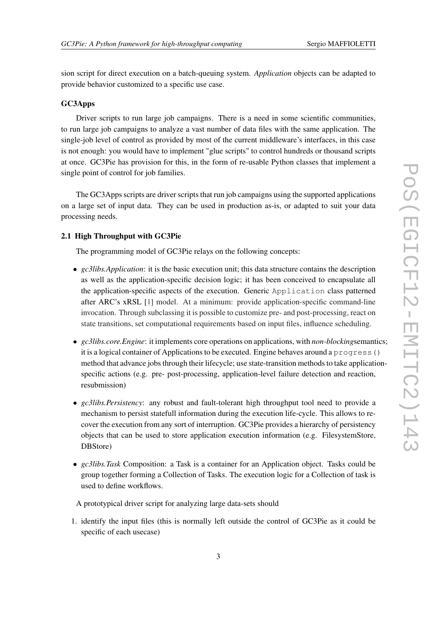sion script for direct execution on a batch-queuing system. *Application* objects can be adapted to provide behavior customized to a specific use case.

#### GC3Apps

Driver scripts to run large job campaigns. There is a need in some scientific communities, to run large job campaigns to analyze a vast number of data files with the same application. The single-job level of control as provided by most of the current middleware's interfaces, in this case is not enough: you would have to implement "glue scripts" to control hundreds or thousand scripts at once. GC3Pie has provision for this, in the form of re-usable Python classes that implement a single point of control for job families.

The GC3Apps scripts are driver scripts that run job campaigns using the supported applications on a large set of input data. They can be used in production as-is, or adapted to suit your data processing needs.

#### 2.1 High Throughput with GC3Pie

The programming model of GC3Pie relays on the following concepts:

- *gc3libs.Application*: it is the basic execution unit; this data structure contains the description as well as the application-specific decision logic; it has been conceived to encapsulate all the application-specific aspects of the execution. Generic Application class patterned after ARC's xRSL [\[1\]](#page-5-0) model. At a minimum: provide application-specific command-line invocation. Through subclassing it is possible to customize pre- and post-processing, react on state transitions, set computational requirements based on input files, influence scheduling.
- *gc3libs.core.Engine*: it implements core operations on applications, with *non-blocking*semantics; it is a logical container of Applications to be executed. Engine behaves around a progress() method that advance jobs through their lifecycle; use state-transition methods to take applicationspecific actions (e.g. pre- post-processing, application-level failure detection and reaction, resubmission)
- *gc3libs.Persistency*: any robust and fault-tolerant high throughput tool need to provide a mechanism to persist statefull information during the execution life-cycle. This allows to recover the execution from any sort of interruption. GC3Pie provides a hierarchy of persistency objects that can be used to store application execution information (e.g. FilesystemStore, DBStore)
- *gc3libs.Task* Composition: a Task is a container for an Application object. Tasks could be group together forming a Collection of Tasks. The execution logic for a Collection of task is used to define workflows.

A prototypical driver script for analyzing large data-sets should

1. identify the input files (this is normally left outside the control of GC3Pie as it could be specific of each usecase)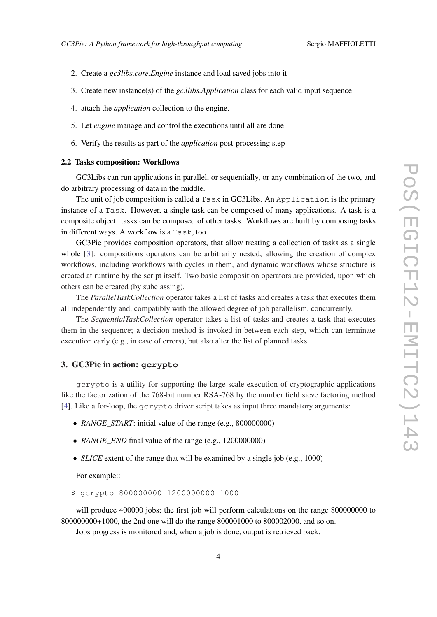- 2. Create a *gc3libs.core.Engine* instance and load saved jobs into it
- 3. Create new instance(s) of the *gc3libs.Application* class for each valid input sequence
- 4. attach the *application* collection to the engine.
- 5. Let *engine* manage and control the executions until all are done
- 6. Verify the results as part of the *application* post-processing step

#### 2.2 Tasks composition: Workflows

GC3Libs can run applications in parallel, or sequentially, or any combination of the two, and do arbitrary processing of data in the middle.

The unit of job composition is called a Task in GC3Libs. An Application is the primary instance of a Task. However, a single task can be composed of many applications. A task is a composite object: tasks can be composed of other tasks. Workflows are built by composing tasks in different ways. A workflow is a Task, too.

GC3Pie provides composition operators, that allow treating a collection of tasks as a single whole [[3](#page-5-0)]: compositions operators can be arbitrarily nested, allowing the creation of complex workflows, including workflows with cycles in them, and dynamic workflows whose structure is created at runtime by the script itself. Two basic composition operators are provided, upon which others can be created (by subclassing).

The *ParallelTaskCollection* operator takes a list of tasks and creates a task that executes them all independently and, compatibly with the allowed degree of job parallelism, concurrently.

The *SequentialTaskCollection* operator takes a list of tasks and creates a task that executes them in the sequence; a decision method is invoked in between each step, which can terminate execution early (e.g., in case of errors), but also alter the list of planned tasks.

# 3. GC3Pie in action: **gcrypto**

gcrypto is a utility for supporting the large scale execution of cryptographic applications like the factorization of the 768-bit number RSA-768 by the number field sieve factoring method [[4](#page-5-0)]. Like a for-loop, the gcrypto driver script takes as input three mandatory arguments:

- *RANGE START*: initial value of the range (e.g., 800000000)
- *RANGE\_END* final value of the range (e.g., 1200000000)
- *SLICE* extent of the range that will be examined by a single job (e.g., 1000)

For example::

\$ gcrypto 800000000 1200000000 1000

will produce 400000 jobs; the first job will perform calculations on the range 800000000 to 800000000+1000, the 2nd one will do the range 800001000 to 800002000, and so on.

Jobs progress is monitored and, when a job is done, output is retrieved back.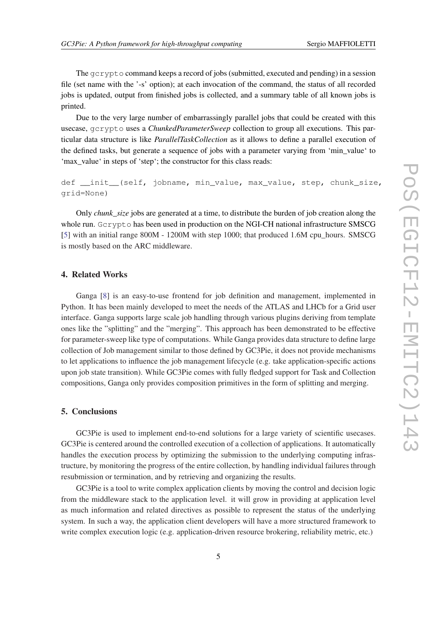The gcrypto command keeps a record of jobs (submitted, executed and pending) in a session file (set name with the '-s' option); at each invocation of the command, the status of all recorded jobs is updated, output from finished jobs is collected, and a summary table of all known jobs is printed.

Due to the very large number of embarrassingly parallel jobs that could be created with this usecase, gcrypto uses a *ChunkedParameterSweep* collection to group all executions. This particular data structure is like *ParallelTaskCollection* as it allows to define a parallel execution of the defined tasks, but generate a sequence of jobs with a parameter varying from 'min\_value' to 'max\_value' in steps of 'step'; the constructor for this class reads:

def \_init\_(self, jobname, min\_value, max\_value, step, chunk\_size, grid=None)

Only *chunk* size jobs are generated at a time, to distribute the burden of job creation along the whole run. Gcrypto has been used in production on the NGI-CH national infrastructure SMSCG [[5](#page-5-0)] with an initial range 800M - 1200M with step 1000; that produced 1.6M cpu\_hours. SMSCG is mostly based on the ARC middleware.

### 4. Related Works

Ganga [\[8\]](#page-5-0) is an easy-to-use frontend for job definition and management, implemented in Python. It has been mainly developed to meet the needs of the ATLAS and LHCb for a Grid user interface. Ganga supports large scale job handling through various plugins deriving from template ones like the "splitting" and the "merging". This approach has been demonstrated to be effective for parameter-sweep like type of computations. While Ganga provides data structure to define large collection of Job management similar to those defined by GC3Pie, it does not provide mechanisms to let applications to influence the job management lifecycle (e.g. take application-specific actions upon job state transition). While GC3Pie comes with fully fledged support for Task and Collection compositions, Ganga only provides composition primitives in the form of splitting and merging.

# 5. Conclusions

GC3Pie is used to implement end-to-end solutions for a large variety of scientific usecases. GC3Pie is centered around the controlled execution of a collection of applications. It automatically handles the execution process by optimizing the submission to the underlying computing infrastructure, by monitoring the progress of the entire collection, by handling individual failures through resubmission or termination, and by retrieving and organizing the results.

GC3Pie is a tool to write complex application clients by moving the control and decision logic from the middleware stack to the application level. it will grow in providing at application level as much information and related directives as possible to represent the status of the underlying system. In such a way, the application client developers will have a more structured framework to write complex execution logic (e.g. application-driven resource brokering, reliability metric, etc.)